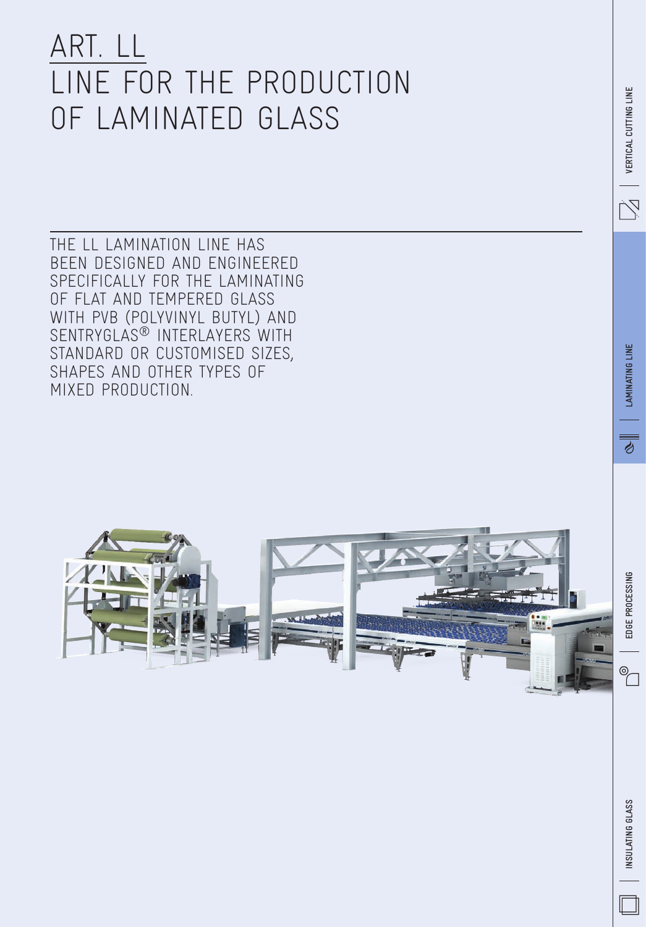## ART. LL LINE FOR THE PRODUCTION OF LAMINATED GLASS

The LL lamination line has been designed and engineered specifically for the laminating of flat and tempered glass with PVB (PolyVinyl butyl) and SENTRYGLAS<sup>®</sup> INTERLAYERS WITH standard or customised sizes, shapes and other types of mixed production.

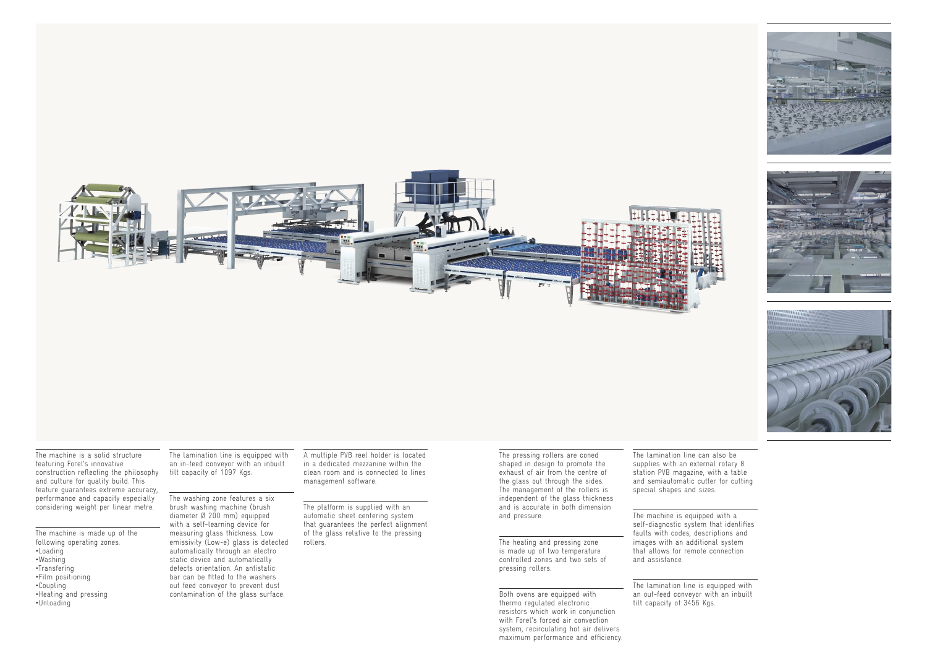









The machine is made up of the following operating zones: •Loading •Washing •Transfering •Film positioning •Coupling •Heating and pressing •Unloading

The lamination line is equipped with an in-feed conveyor with an inbuilt tilt capacity of 1097 Kgs.

The washing zone features a six brush washing machine (brush diameter Ø 200 mm) equipped with a self-learning device for measuring glass thickness. Low emissivity (Low-e) glass is detected automatically through an electro static device and automatically detects orientation. An antistatic bar can be fitted to the washers out feed conveyor to prevent dust contamination of the glass surface.

A multiple PVB reel holder is located in a dedicated mezzanine within the clean room and is connected to lines management software.

The platform is supplied with an automatic sheet centering system that guarantees the perfect alignment of the glass relative to the pressing rollers.

The pressing rollers are coned shaped in design to promote the exhaust of air from the centre of the glass out through the sides. The management of the rollers is independent of the glass thickness and is accurate in both dimension and pressure.

The heating and pressing zone is made up of two temperature controlled zones and two sets of pressing rollers.

Both ovens are equipped with thermo regulated electronic resistors which work in conjunction with Forel's forced air convection system, recirculating hot air delivers maximum performance and efficiency. The lamination line can also be supplies with an external rotary 8 station PVB magazine, with a table and semiautomatic cutter for cutting special shapes and sizes.

The machine is equipped with a self-diagnostic system that identifies faults with codes, descriptions and images with an additional system that allows for remote connection and assistance.

The lamination line is equipped with an out-feed conveyor with an inbuilt tilt capacity of 3456 Kgs.